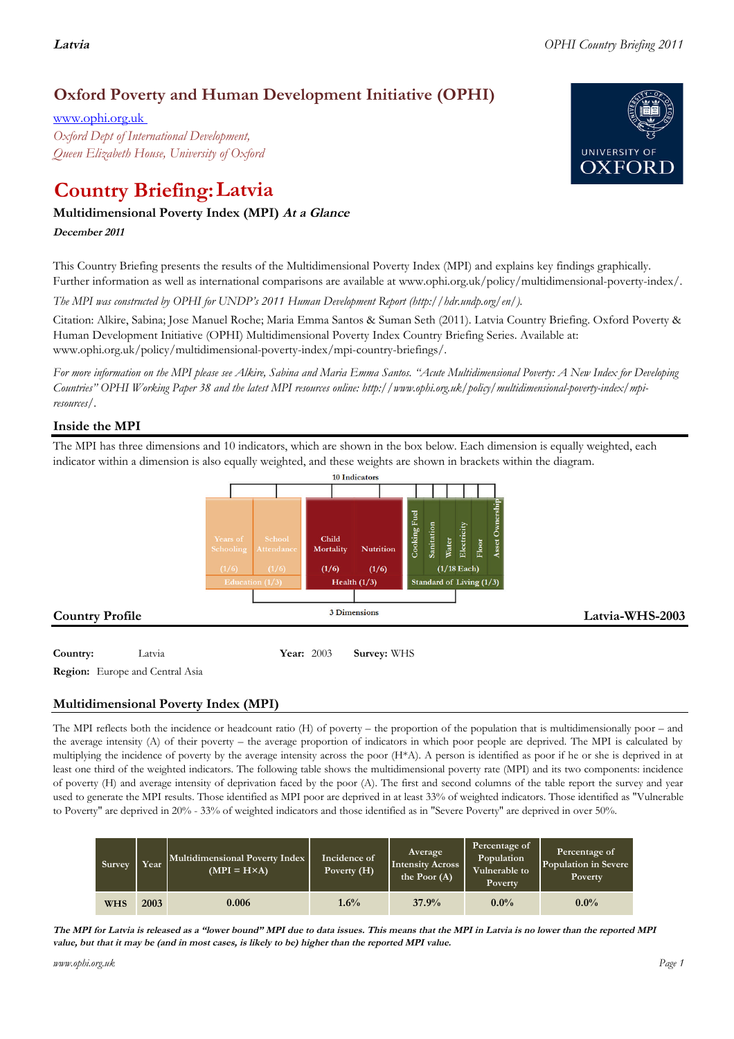# **Oxford Poverty and Human Development Initiative (OPHI)**

www.ophi.org.uk *Oxford Dept of International Development, Queen Elizabeth House, University of Oxford*

# **Country Briefing: Latvia**

# **Multidimensional Poverty Index (MPI) At <sup>a</sup> Glance**

**December <sup>2011</sup>**

This Country Briefing presents the results of the Multidimensional Poverty Index (MPI) and explains key findings graphically. Further information as well as international comparisons are available at www.ophi.org.uk/policy/multidimensional-poverty-index/.

*The MPI was constructed by OPHI for UNDP's 2011 Human Development Report (http://hdr.undp.org/en/).*

Citation: Alkire, Sabina; Jose Manuel Roche; Maria Emma Santos & Suman Seth (2011). Latvia Country Briefing. Oxford Poverty & Human Development Initiative (OPHI) Multidimensional Poverty Index Country Briefing Series. Available at: www.ophi.org.uk/policy/multidimensional-poverty-index/mpi-country-briefings/.

*For more information on the MPI please see Alkire, Sabina and Maria Emma Santos. "Acute Multidimensional Poverty: A New Index for Developing Countries" OPHI Working Paper 38 and the latest MPI resources online: http://www.ophi.org.uk/policy/multidimensional-poverty-index/mpiresources/.*

# **Inside the MPI**

The MPI has three dimensions and 10 indicators, which are shown in the box below. Each dimension is equally weighted, each indicator within a dimension is also equally weighted, and these weights are shown in brackets within the diagram.



**Country:**  $Latvia$  **Year:** 2003 **Survey:** WHS

**Region:** Europe and Central Asia

# **Multidimensional Poverty Index (MPI)**

The MPI reflects both the incidence or headcount ratio (H) of poverty – the proportion of the population that is multidimensionally poor – and the average intensity (A) of their poverty – the average proportion of indicators in which poor people are deprived. The MPI is calculated by multiplying the incidence of poverty by the average intensity across the poor (H\*A). A person is identified as poor if he or she is deprived in at least one third of the weighted indicators. The following table shows the multidimensional poverty rate (MPI) and its two components: incidence of poverty (H) and average intensity of deprivation faced by the poor (A). The first and second columns of the table report the survey and year used to generate the MPI results. Those identified as MPI poor are deprived in at least 33% of weighted indicators. Those identified as "Vulnerable to Poverty" are deprived in 20% - 33% of weighted indicators and those identified as in "Severe Poverty" are deprived in over 50%.

| Survey     | Year | Multidimensional Poverty Index<br>$(MPI = H \times A)$ | Incidence of<br>Poverty $(H)$ | Average<br><b>Intensity Across</b><br>the Poor $(A)$ | Percentage of<br>Population<br>Vulnerable to<br>Poverty | Percentage of<br>Population in Severe<br>Poverty |
|------------|------|--------------------------------------------------------|-------------------------------|------------------------------------------------------|---------------------------------------------------------|--------------------------------------------------|
| <b>WHS</b> | 2003 | 0.006                                                  | 1.6%                          | 37.9%                                                | $0.0\%$                                                 | $0.0\%$                                          |

The MPI for Latvia is released as a "lower bound" MPI due to data issues. This means that the MPI in Latvia is no lower than the reported MPI value, but that it may be (and in most cases, is likely to be) higher than the reported MPI value.

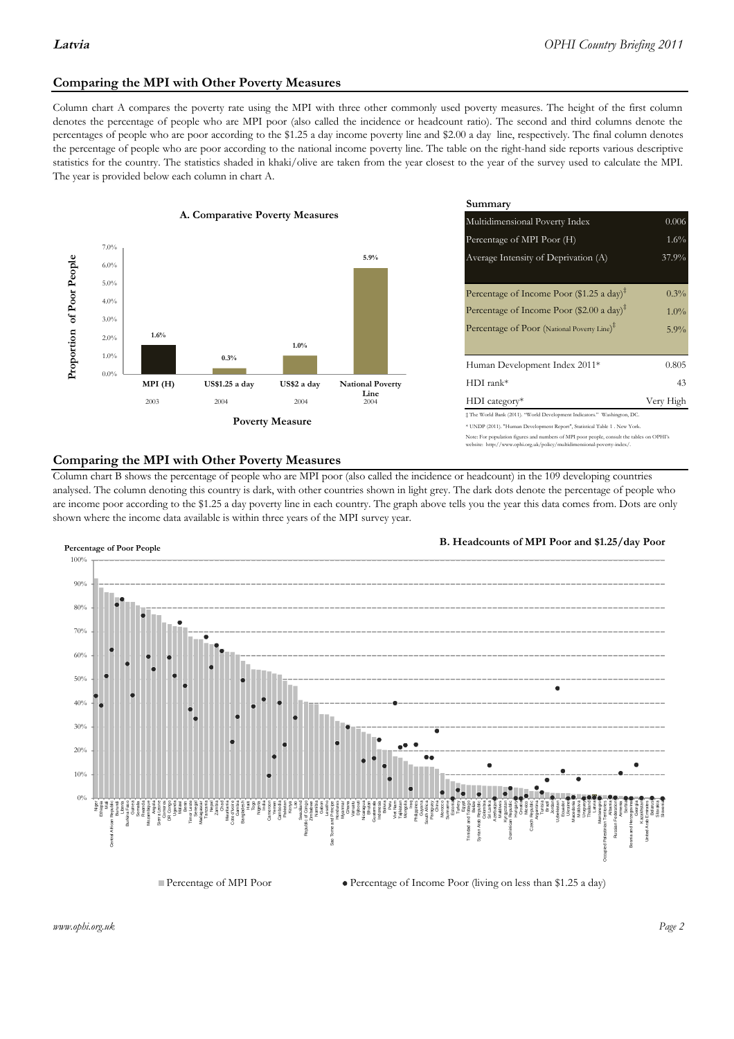### **Comparing the MPI with Other Poverty Measures**

Column chart A compares the poverty rate using the MPI with three other commonly used poverty measures. The height of the first column denotes the percentage of people who are MPI poor (also called the incidence or headcount ratio). The second and third columns denote the percentages of people who are poor according to the \$1.25 a day income poverty line and \$2.00 a day line, respectively. The final column denotes the percentage of people who are poor according to the national income poverty line. The table on the right-hand side reports various descriptive statistics for the country. The statistics shaded in khaki/olive are taken from the year closest to the year of the survey used to calculate the MPI. The year is provided below each column in chart A.



|                |                         | Summary                                                                      |           |  |  |
|----------------|-------------------------|------------------------------------------------------------------------------|-----------|--|--|
| erty Measures  |                         | 0.006<br>Multidimensional Poverty Index                                      |           |  |  |
|                |                         | Percentage of MPI Poor (H)                                                   | $1.6\%$   |  |  |
|                | 5.9%                    | Average Intensity of Deprivation (A)                                         | 37.9%     |  |  |
|                |                         |                                                                              |           |  |  |
|                |                         | Percentage of Income Poor (\$1.25 a day) <sup><math>\ddagger</math></sup>    | 0.3%      |  |  |
|                |                         | Percentage of Income Poor (\$2.00 a day) <sup>‡</sup>                        | $1.0\%$   |  |  |
|                |                         | Percentage of Poor (National Poverty Line) <sup>#</sup>                      | $5.9\%$   |  |  |
| 1.0%           |                         |                                                                              |           |  |  |
|                |                         | Human Development Index 2011*                                                | 0.805     |  |  |
| US\$2 a day    | <b>National Poverty</b> | $HDI$ rank*                                                                  | 43        |  |  |
| 2004           | Line<br>2004            | $HDI category*$                                                              | Very High |  |  |
| <b>Aeasure</b> |                         | $\pm$ The World Bank (2011). "World Development Indicators." Washington, DC. |           |  |  |
|                |                         | * UNDP (2011). "Human Development Report", Statistical Table 1 . New York.   |           |  |  |

te: For population figures and numbers of MPI poor people, consult the tables on OPHI's te: http://www.ophi.org.uk/policy/multidimensional-poverty-index/

#### **Comparing the MPI with Other Poverty Measures**

Column chart B shows the percentage of people who are MPI poor (also called the incidence or headcount) in the 109 developing countries analysed. The column denoting this country is dark, with other countries shown in light grey. The dark dots denote the percentage of people who are income poor according to the \$1.25 a day poverty line in each country. The graph above tells you the year this data comes from. Dots are only shown where the income data available is within three years of the MPI survey year.



**B. Headcounts of MPI Poor and \$1.25/day Poor**



*www.ophi.org.uk Page 2*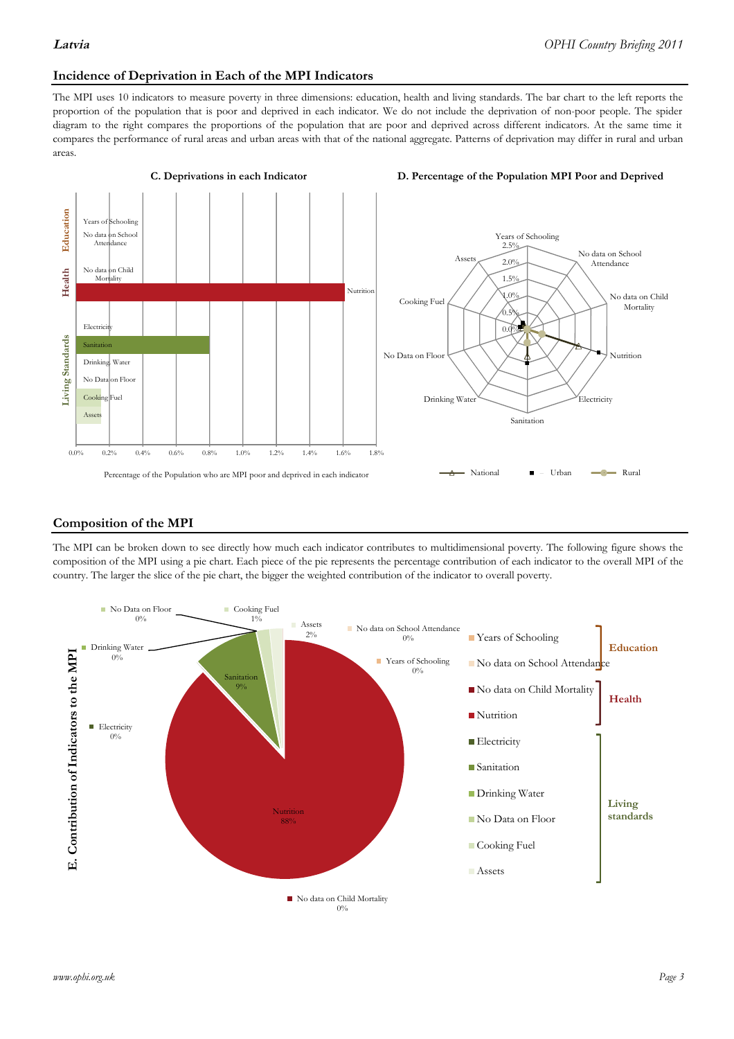### **Incidence of Deprivation in Each of the MPI Indicators**

The MPI uses 10 indicators to measure poverty in three dimensions: education, health and living standards. The bar chart to the left reports the proportion of the population that is poor and deprived in each indicator. We do not include the deprivation of non-poor people. The spider diagram to the right compares the proportions of the population that are poor and deprived across different indicators. At the same time it compares the performance of rural areas and urban areas with that of the national aggregate. Patterns of deprivation may differ in rural and urban areas.



#### **Composition of the MPI**

The MPI can be broken down to see directly how much each indicator contributes to multidimensional poverty. The following figure shows the composition of the MPI using a pie chart. Each piece of the pie represents the percentage contribution of each indicator to the overall MPI of the country. The larger the slice of the pie chart, the bigger the weighted contribution of the indicator to overall poverty.